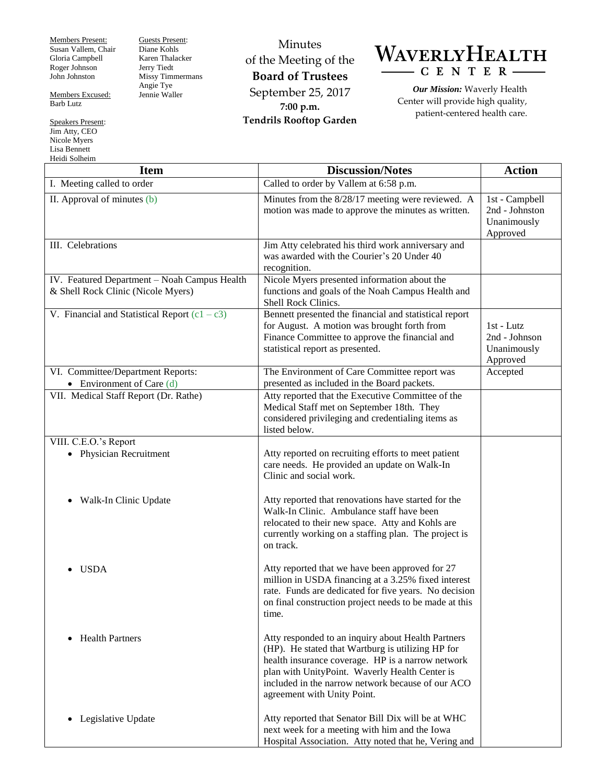Members Present: Susan Vallem, Chair Gloria Campbell Roger Johnson John Johnston

Members Excused: Barb Lutz

Speakers Present: Jim Atty, CEO Nicole Myers Lisa Bennett Heidi Solheim

Guests Present: Diane Kohls Karen Thalacker Jerry Tiedt Missy Timmermans Angie Tye Jennie Waller

Minutes of the Meeting of the **Board of Trustees** September 25, 2017 **7:00 p.m. Tendrils Rooftop Garden**



*Our Mission:* Waverly Health Center will provide high quality, patient-centered health care.

| <b>Item</b>                                                                        | <b>Discussion/Notes</b>                                                                                                                                                                                                                                                                            | <b>Action</b>                                               |
|------------------------------------------------------------------------------------|----------------------------------------------------------------------------------------------------------------------------------------------------------------------------------------------------------------------------------------------------------------------------------------------------|-------------------------------------------------------------|
| I. Meeting called to order                                                         | Called to order by Vallem at 6:58 p.m.                                                                                                                                                                                                                                                             |                                                             |
| II. Approval of minutes (b)                                                        | Minutes from the 8/28/17 meeting were reviewed. A<br>motion was made to approve the minutes as written.                                                                                                                                                                                            | 1st - Campbell<br>2nd - Johnston<br>Unanimously<br>Approved |
| III. Celebrations                                                                  | Jim Atty celebrated his third work anniversary and<br>was awarded with the Courier's 20 Under 40<br>recognition.                                                                                                                                                                                   |                                                             |
| IV. Featured Department - Noah Campus Health<br>& Shell Rock Clinic (Nicole Myers) | Nicole Myers presented information about the<br>functions and goals of the Noah Campus Health and<br>Shell Rock Clinics.                                                                                                                                                                           |                                                             |
| V. Financial and Statistical Report $(c1 - c3)$                                    | Bennett presented the financial and statistical report<br>for August. A motion was brought forth from<br>Finance Committee to approve the financial and<br>statistical report as presented.                                                                                                        | 1st - Lutz<br>2nd - Johnson<br>Unanimously<br>Approved      |
| VI. Committee/Department Reports:<br>• Environment of Care $(d)$                   | The Environment of Care Committee report was<br>presented as included in the Board packets.                                                                                                                                                                                                        | Accepted                                                    |
| VII. Medical Staff Report (Dr. Rathe)                                              | Atty reported that the Executive Committee of the<br>Medical Staff met on September 18th. They<br>considered privileging and credentialing items as<br>listed below.                                                                                                                               |                                                             |
| VIII. C.E.O.'s Report                                                              |                                                                                                                                                                                                                                                                                                    |                                                             |
| • Physician Recruitment                                                            | Atty reported on recruiting efforts to meet patient<br>care needs. He provided an update on Walk-In<br>Clinic and social work.                                                                                                                                                                     |                                                             |
| Walk-In Clinic Update                                                              | Atty reported that renovations have started for the<br>Walk-In Clinic. Ambulance staff have been<br>relocated to their new space. Atty and Kohls are<br>currently working on a staffing plan. The project is<br>on track.                                                                          |                                                             |
| <b>USDA</b>                                                                        | Atty reported that we have been approved for 27<br>million in USDA financing at a 3.25% fixed interest<br>rate. Funds are dedicated for five years. No decision<br>on final construction project needs to be made at this<br>time.                                                                 |                                                             |
| <b>Health Partners</b><br>$\bullet$                                                | Atty responded to an inquiry about Health Partners<br>(HP). He stated that Wartburg is utilizing HP for<br>health insurance coverage. HP is a narrow network<br>plan with UnityPoint. Waverly Health Center is<br>included in the narrow network because of our ACO<br>agreement with Unity Point. |                                                             |
| Legislative Update<br>$\bullet$                                                    | Atty reported that Senator Bill Dix will be at WHC<br>next week for a meeting with him and the Iowa<br>Hospital Association. Atty noted that he, Vering and                                                                                                                                        |                                                             |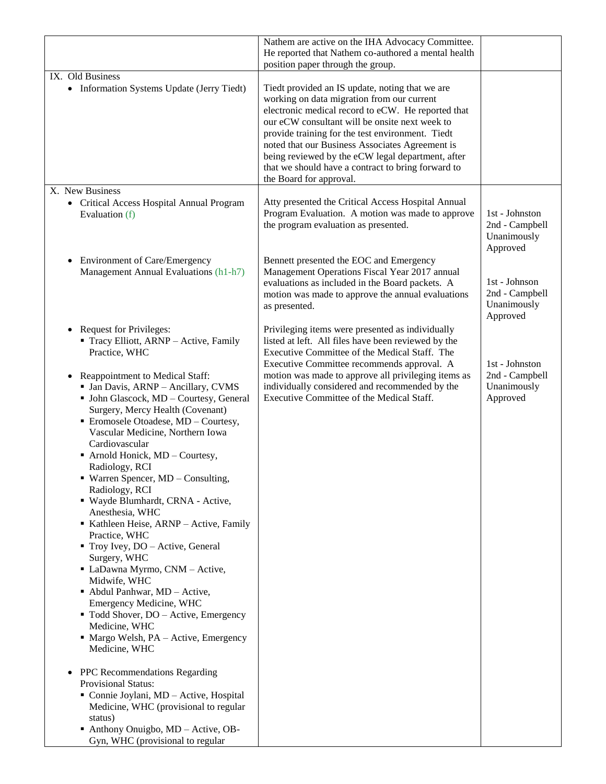|                                                                                                                                                                                                                                                                                                                                                                                                                                                                                                                                                                                                                                                                                                                                                                                                                                                                                                                                                                                                                                                                                                                                                             | Nathem are active on the IHA Advocacy Committee.<br>He reported that Nathem co-authored a mental health<br>position paper through the group.                                                                                                                                                                                                                                                                                                       |                                                             |
|-------------------------------------------------------------------------------------------------------------------------------------------------------------------------------------------------------------------------------------------------------------------------------------------------------------------------------------------------------------------------------------------------------------------------------------------------------------------------------------------------------------------------------------------------------------------------------------------------------------------------------------------------------------------------------------------------------------------------------------------------------------------------------------------------------------------------------------------------------------------------------------------------------------------------------------------------------------------------------------------------------------------------------------------------------------------------------------------------------------------------------------------------------------|----------------------------------------------------------------------------------------------------------------------------------------------------------------------------------------------------------------------------------------------------------------------------------------------------------------------------------------------------------------------------------------------------------------------------------------------------|-------------------------------------------------------------|
| IX. Old Business<br>• Information Systems Update (Jerry Tiedt)                                                                                                                                                                                                                                                                                                                                                                                                                                                                                                                                                                                                                                                                                                                                                                                                                                                                                                                                                                                                                                                                                              | Tiedt provided an IS update, noting that we are<br>working on data migration from our current<br>electronic medical record to eCW. He reported that<br>our eCW consultant will be onsite next week to<br>provide training for the test environment. Tiedt<br>noted that our Business Associates Agreement is<br>being reviewed by the eCW legal department, after<br>that we should have a contract to bring forward to<br>the Board for approval. |                                                             |
| X. New Business<br>• Critical Access Hospital Annual Program<br>Evaluation (f)                                                                                                                                                                                                                                                                                                                                                                                                                                                                                                                                                                                                                                                                                                                                                                                                                                                                                                                                                                                                                                                                              | Atty presented the Critical Access Hospital Annual<br>Program Evaluation. A motion was made to approve<br>the program evaluation as presented.                                                                                                                                                                                                                                                                                                     | 1st - Johnston<br>2nd - Campbell<br>Unanimously<br>Approved |
| <b>Environment of Care/Emergency</b><br>$\bullet$<br>Management Annual Evaluations (h1-h7)                                                                                                                                                                                                                                                                                                                                                                                                                                                                                                                                                                                                                                                                                                                                                                                                                                                                                                                                                                                                                                                                  | Bennett presented the EOC and Emergency<br>Management Operations Fiscal Year 2017 annual<br>evaluations as included in the Board packets. A<br>motion was made to approve the annual evaluations<br>as presented.                                                                                                                                                                                                                                  | 1st - Johnson<br>2nd - Campbell<br>Unanimously<br>Approved  |
| <b>Request for Privileges:</b><br>$\bullet$<br>Tracy Elliott, ARNP - Active, Family<br>Practice, WHC<br>Reappointment to Medical Staff:<br>• Jan Davis, ARNP - Ancillary, CVMS<br>• John Glascock, MD - Courtesy, General<br>Surgery, Mercy Health (Covenant)<br>Eromosele Otoadese, MD - Courtesy,<br>Vascular Medicine, Northern Iowa<br>Cardiovascular<br>Arnold Honick, MD - Courtesy,<br>Radiology, RCI<br>• Warren Spencer, MD - Consulting,<br>Radiology, RCI<br>· Wayde Blumhardt, CRNA - Active,<br>Anesthesia, WHC<br>Kathleen Heise, ARNP - Active, Family<br>Practice, WHC<br>■ Troy Ivey, DO – Active, General<br>Surgery, WHC<br>• LaDawna Myrmo, CNM - Active,<br>Midwife, WHC<br>$\blacksquare$ Abdul Panhwar, MD - Active,<br>Emergency Medicine, WHC<br>" Todd Shover, DO - Active, Emergency<br>Medicine, WHC<br>$\blacksquare$ Margo Welsh, PA – Active, Emergency<br>Medicine, WHC<br>PPC Recommendations Regarding<br>$\bullet$<br><b>Provisional Status:</b><br>Connie Joylani, MD - Active, Hospital<br>Medicine, WHC (provisional to regular<br>status)<br>• Anthony Onuigbo, MD – Active, OB-<br>Gyn, WHC (provisional to regular | Privileging items were presented as individually<br>listed at left. All files have been reviewed by the<br>Executive Committee of the Medical Staff. The<br>Executive Committee recommends approval. A<br>motion was made to approve all privileging items as<br>individually considered and recommended by the<br>Executive Committee of the Medical Staff.                                                                                       | 1st - Johnston<br>2nd - Campbell<br>Unanimously<br>Approved |